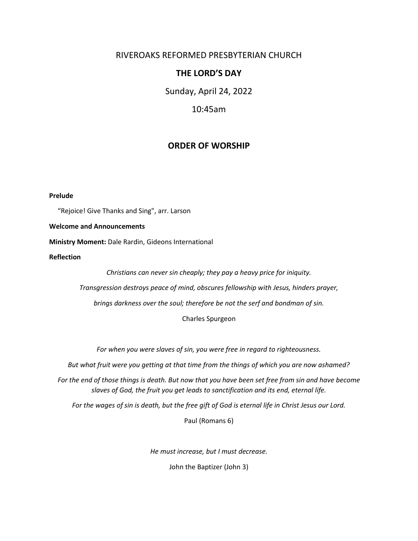## RIVEROAKS REFORMED PRESBYTERIAN CHURCH

## **THE LORD'S DAY**

Sunday, April 24, 2022

10:45am

## **ORDER OF WORSHIP**

**Prelude**

"Rejoice! Give Thanks and Sing", arr. Larson

### **Welcome and Announcements**

**Ministry Moment:** Dale Rardin, Gideons International

**Reflection** 

*Christians can never sin cheaply; they pay a heavy price for iniquity. Transgression destroys peace of mind, obscures fellowship with Jesus, hinders prayer, brings darkness over the soul; therefore be not the serf and bondman of sin.*

Charles Spurgeon

*For when you were slaves of sin, you were free in regard to righteousness.*

*But what fruit were you getting at that time from the things of which you are now ashamed?*

*For the end of those things is death. But now that you have been set free from sin and have become slaves of God, the fruit you get leads to sanctification and its end, eternal life.*

*For the wages of sin is death, but the free gift of God is eternal life in Christ Jesus our Lord.*

Paul (Romans 6)

*He must increase, but I must decrease.*

John the Baptizer (John 3)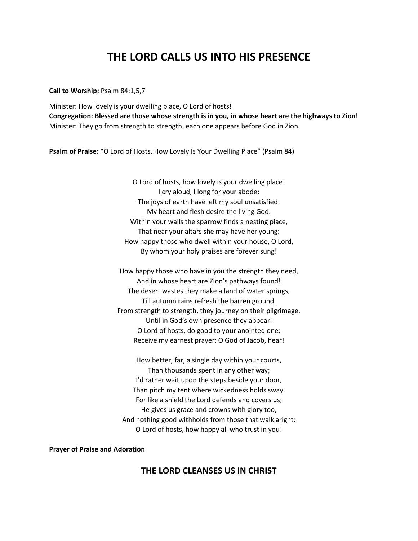## **THE LORD CALLS US INTO HIS PRESENCE**

**Call to Worship:** Psalm 84:1,5,7

Minister: How lovely is your dwelling place, O Lord of hosts! **Congregation: Blessed are those whose strength is in you, in whose heart are the highways to Zion!** Minister: They go from strength to strength; each one appears before God in Zion.

**Psalm of Praise:** "O Lord of Hosts, How Lovely Is Your Dwelling Place" (Psalm 84)

O Lord of hosts, how lovely is your dwelling place! I cry aloud, I long for your abode: The joys of earth have left my soul unsatisfied: My heart and flesh desire the living God. Within your walls the sparrow finds a nesting place, That near your altars she may have her young: How happy those who dwell within your house, O Lord, By whom your holy praises are forever sung!

How happy those who have in you the strength they need, And in whose heart are Zion's pathways found! The desert wastes they make a land of water springs, Till autumn rains refresh the barren ground. From strength to strength, they journey on their pilgrimage, Until in God's own presence they appear: O Lord of hosts, do good to your anointed one; Receive my earnest prayer: O God of Jacob, hear!

How better, far, a single day within your courts, Than thousands spent in any other way; I'd rather wait upon the steps beside your door, Than pitch my tent where wickedness holds sway. For like a shield the Lord defends and covers us; He gives us grace and crowns with glory too, And nothing good withholds from those that walk aright: O Lord of hosts, how happy all who trust in you!

#### **Prayer of Praise and Adoration**

### **THE LORD CLEANSES US IN CHRIST**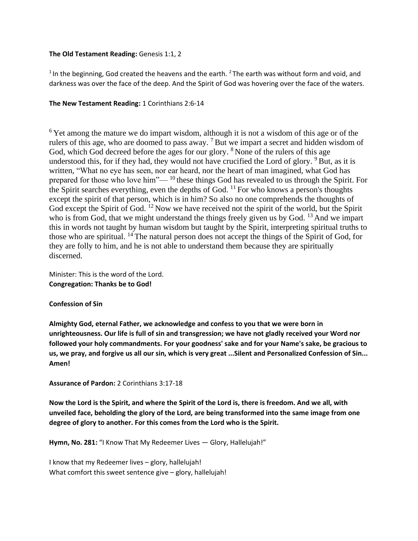#### **The Old Testament Reading:** Genesis 1:1, 2

<sup>1</sup> In the beginning, God created the heavens and the earth. <sup>2</sup> The earth was without form and void, and darkness was over the face of the deep. And the Spirit of God was hovering over the face of the waters.

#### **The New Testament Reading:** 1 Corinthians 2:6-14

 $6$  Yet among the mature we do impart wisdom, although it is not a wisdom of this age or of the rulers of this age, who are doomed to pass away.  $7$  But we impart a secret and hidden wisdom of God, which God decreed before the ages for our glory. <sup>8</sup> None of the rulers of this age understood this, for if they had, they would not have crucified the Lord of glory. <sup>9</sup> But, as it is written, "What no eye has seen, nor ear heard, nor the heart of man imagined, what God has prepared for those who love him"— <sup>10</sup> these things God has revealed to us through the Spirit. For the Spirit searches everything, even the depths of God.  $^{11}$  For who knows a person's thoughts except the spirit of that person, which is in him? So also no one comprehends the thoughts of God except the Spirit of God. <sup>12</sup> Now we have received not the spirit of the world, but the Spirit who is from God, that we might understand the things freely given us by God. <sup>13</sup> And we impart this in words not taught by human wisdom but taught by the Spirit, interpreting spiritual truths to those who are spiritual. <sup>14</sup> The natural person does not accept the things of the Spirit of God, for they are folly to him, and he is not able to understand them because they are spiritually discerned.

Minister: This is the word of the Lord. **Congregation: Thanks be to God!**

#### **Confession of Sin**

**Almighty God, eternal Father, we acknowledge and confess to you that we were born in unrighteousness. Our life is full of sin and transgression; we have not gladly received your Word nor followed your holy commandments. For your goodness' sake and for your Name's sake, be gracious to us, we pray, and forgive us all our sin, which is very great ...Silent and Personalized Confession of Sin... Amen!**

#### **Assurance of Pardon:** 2 Corinthians 3:17-18

**Now the Lord is the Spirit, and where the Spirit of the Lord is, there is freedom. And we all, with unveiled face, beholding the glory of the Lord, are being transformed into the same image from one degree of glory to another. For this comes from the Lord who is the Spirit.**

**Hymn, No. 281:** "I Know That My Redeemer Lives — Glory, Hallelujah!"

I know that my Redeemer lives – glory, hallelujah! What comfort this sweet sentence give – glory, hallelujah!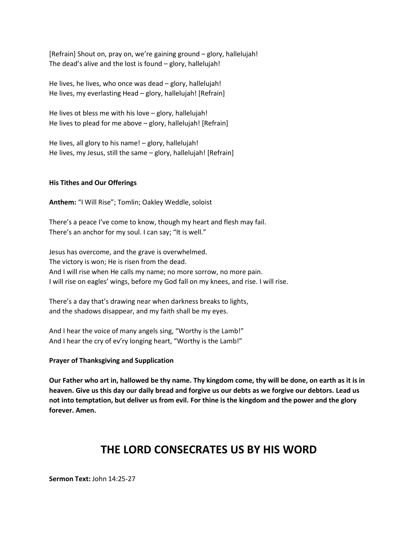[Refrain] Shout on, pray on, we're gaining ground – glory, hallelujah! The dead's alive and the lost is found – glory, hallelujah!

He lives, he lives, who once was dead – glory, hallelujah! He lives, my everlasting Head – glory, hallelujah! [Refrain]

He lives ot bless me with his love – glory, hallelujah! He lives to plead for me above – glory, hallelujah! [Refrain]

He lives, all glory to his name! – glory, hallelujah! He lives, my Jesus, still the same – glory, hallelujah! [Refrain]

### **His Tithes and Our Offerings**

**Anthem:** "I Will Rise"; Tomlin; Oakley Weddle, soloist

There's a peace I've come to know, though my heart and flesh may fail. There's an anchor for my soul. I can say; "It is well."

Jesus has overcome, and the grave is overwhelmed. The victory is won; He is risen from the dead. And I will rise when He calls my name; no more sorrow, no more pain. I will rise on eagles' wings, before my God fall on my knees, and rise. I will rise.

There's a day that's drawing near when darkness breaks to lights, and the shadows disappear, and my faith shall be my eyes.

And I hear the voice of many angels sing, "Worthy is the Lamb!" And I hear the cry of ev'ry longing heart, "Worthy is the Lamb!"

### **Prayer of Thanksgiving and Supplication**

**Our Father who art in, hallowed be thy name. Thy kingdom come, thy will be done, on earth as it is in heaven. Give us this day our daily bread and forgive us our debts as we forgive our debtors. Lead us not into temptation, but deliver us from evil. For thine is the kingdom and the power and the glory forever. Amen.**

# **THE LORD CONSECRATES US BY HIS WORD**

**Sermon Text:** John 14:25-27